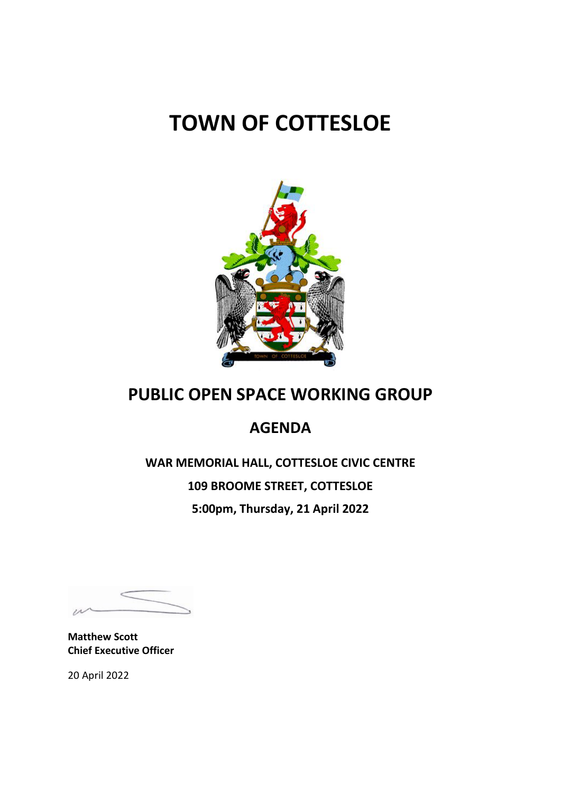# **TOWN OF COTTESLOE**



# **PUBLIC OPEN SPACE WORKING GROUP**

# **AGENDA**

**WAR MEMORIAL HALL, COTTESLOE CIVIC CENTRE 109 BROOME STREET, COTTESLOE 5:00pm, Thursday, 21 April 2022**

**Matthew Scott Chief Executive Officer**

20 April 2022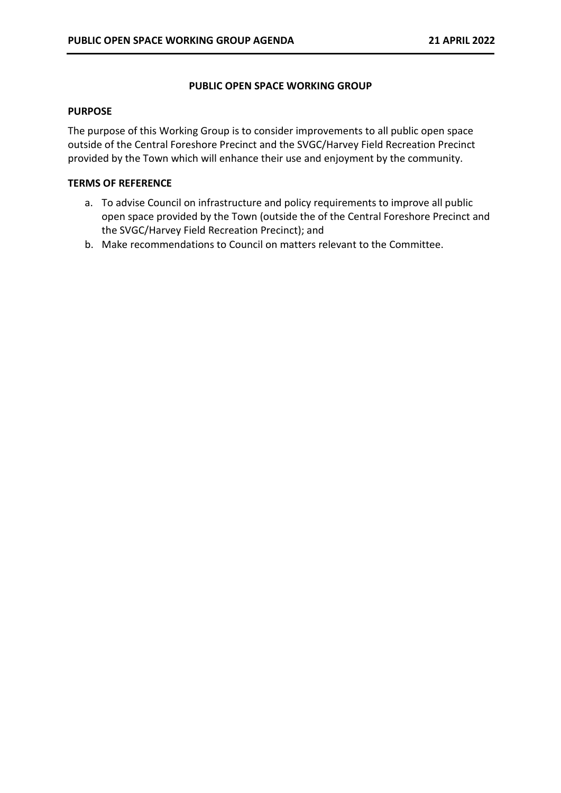#### **PUBLIC OPEN SPACE WORKING GROUP**

#### **PURPOSE**

The purpose of this Working Group is to consider improvements to all public open space outside of the Central Foreshore Precinct and the SVGC/Harvey Field Recreation Precinct provided by the Town which will enhance their use and enjoyment by the community.

#### **TERMS OF REFERENCE**

- a. To advise Council on infrastructure and policy requirements to improve all public open space provided by the Town (outside the of the Central Foreshore Precinct and the SVGC/Harvey Field Recreation Precinct); and
- b. Make recommendations to Council on matters relevant to the Committee.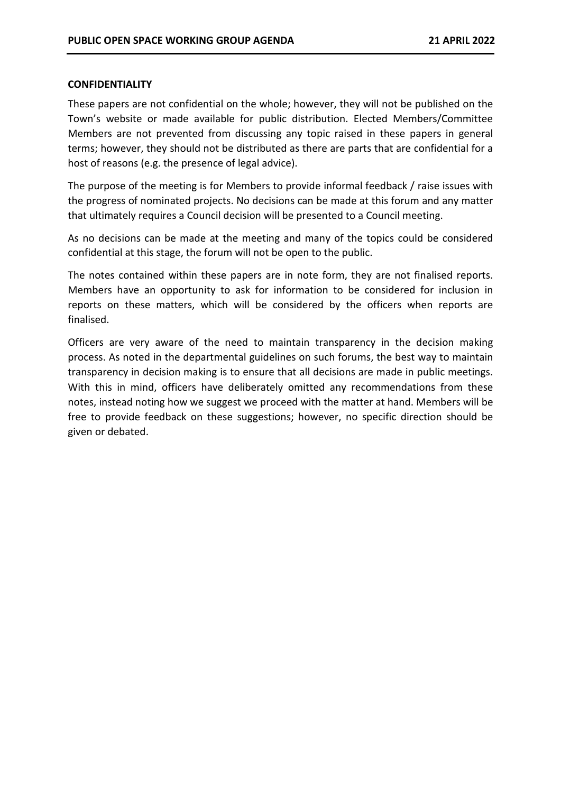#### **CONFIDENTIALITY**

These papers are not confidential on the whole; however, they will not be published on the Town's website or made available for public distribution. Elected Members/Committee Members are not prevented from discussing any topic raised in these papers in general terms; however, they should not be distributed as there are parts that are confidential for a host of reasons (e.g. the presence of legal advice).

The purpose of the meeting is for Members to provide informal feedback / raise issues with the progress of nominated projects. No decisions can be made at this forum and any matter that ultimately requires a Council decision will be presented to a Council meeting.

As no decisions can be made at the meeting and many of the topics could be considered confidential at this stage, the forum will not be open to the public.

The notes contained within these papers are in note form, they are not finalised reports. Members have an opportunity to ask for information to be considered for inclusion in reports on these matters, which will be considered by the officers when reports are finalised.

Officers are very aware of the need to maintain transparency in the decision making process. As noted in the departmental guidelines on such forums, the best way to maintain transparency in decision making is to ensure that all decisions are made in public meetings. With this in mind, officers have deliberately omitted any recommendations from these notes, instead noting how we suggest we proceed with the matter at hand. Members will be free to provide feedback on these suggestions; however, no specific direction should be given or debated.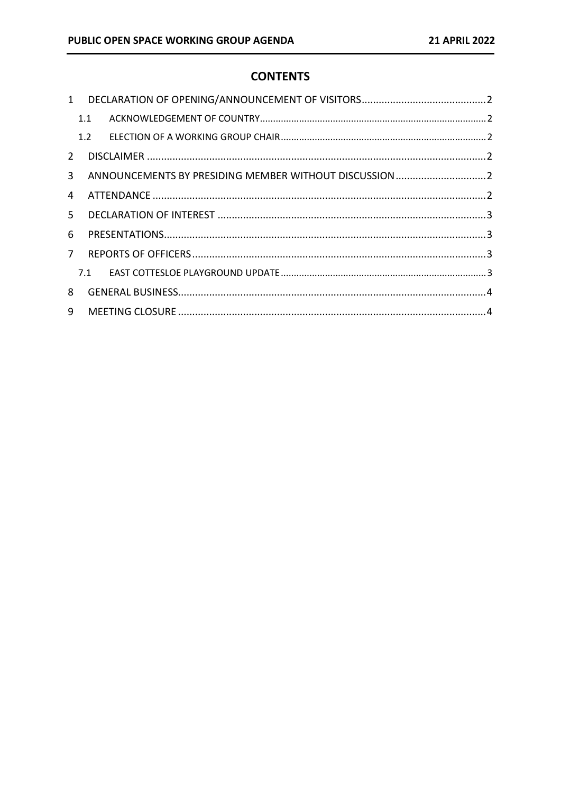# **CONTENTS**

| $\mathbf{1}$ |     |  |  |
|--------------|-----|--|--|
|              | 1.1 |  |  |
|              | 1.2 |  |  |
| 2            |     |  |  |
| 3            |     |  |  |
| 4            |     |  |  |
| 5.           |     |  |  |
| 6            |     |  |  |
| $7^{\circ}$  |     |  |  |
|              |     |  |  |
| 8            |     |  |  |
| 9            |     |  |  |
|              |     |  |  |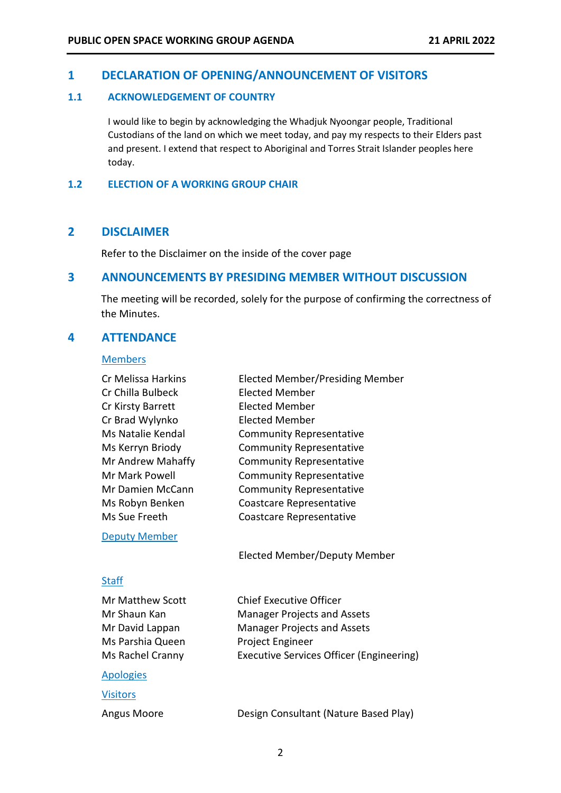#### <span id="page-4-0"></span>**1 DECLARATION OF OPENING/ANNOUNCEMENT OF VISITORS**

#### <span id="page-4-1"></span>**1.1 ACKNOWLEDGEMENT OF COUNTRY**

I would like to begin by acknowledging the Whadjuk Nyoongar people, Traditional Custodians of the land on which we meet today, and pay my respects to their Elders past and present. I extend that respect to Aboriginal and Torres Strait Islander peoples here today.

#### <span id="page-4-2"></span>**1.2 ELECTION OF A WORKING GROUP CHAIR**

# <span id="page-4-3"></span>**2 DISCLAIMER**

Refer to the Disclaimer on the inside of the cover page

#### <span id="page-4-4"></span>**3 ANNOUNCEMENTS BY PRESIDING MEMBER WITHOUT DISCUSSION**

The meeting will be recorded, solely for the purpose of confirming the correctness of the Minutes.

#### <span id="page-4-5"></span>**4 ATTENDANCE**

#### Members

| Cr Melissa Harkins   | Elected Member/Presiding Member          |
|----------------------|------------------------------------------|
| Cr Chilla Bulbeck    | <b>Elected Member</b>                    |
| Cr Kirsty Barrett    | <b>Elected Member</b>                    |
| Cr Brad Wylynko      | Elected Member                           |
| Ms Natalie Kendal    | <b>Community Representative</b>          |
| Ms Kerryn Briody     | <b>Community Representative</b>          |
| Mr Andrew Mahaffy    | <b>Community Representative</b>          |
| Mr Mark Powell       | <b>Community Representative</b>          |
| Mr Damien McCann     | <b>Community Representative</b>          |
| Ms Robyn Benken      | Coastcare Representative                 |
| Ms Sue Freeth        | Coastcare Representative                 |
| <b>Deputy Member</b> |                                          |
|                      | Elected Member/Deputy Member             |
| <b>Staff</b>         |                                          |
| Mr Matthew Scott     | <b>Chief Executive Officer</b>           |
| Mr Shaun Kan         | <b>Manager Projects and Assets</b>       |
| Mr David Lappan      | <b>Manager Projects and Assets</b>       |
| Ms Parshia Queen     | Project Engineer                         |
| Ms Rachel Cranny     | Executive Services Officer (Engineering) |
|                      |                                          |

#### Apologies

**Visitors** 

Angus Moore Design Consultant (Nature Based Play)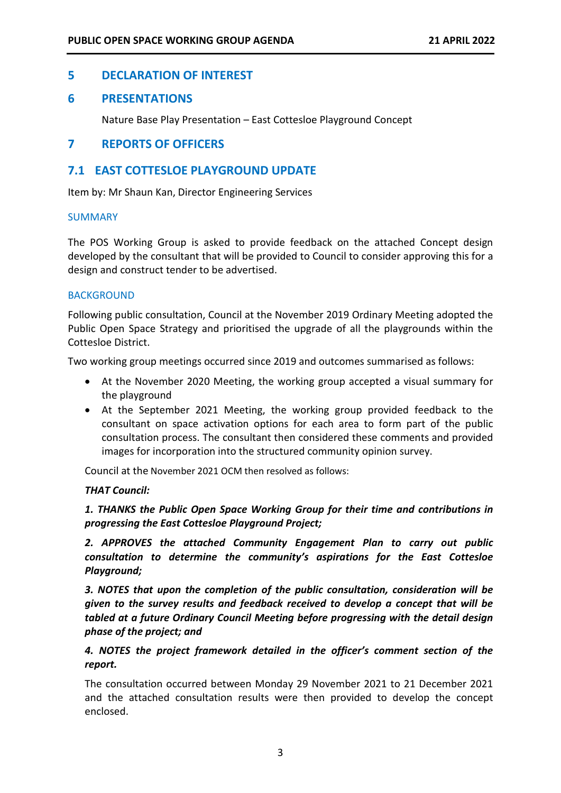# <span id="page-5-0"></span>**5 DECLARATION OF INTEREST**

# <span id="page-5-1"></span>**6 PRESENTATIONS**

Nature Base Play Presentation – East Cottesloe Playground Concept

# <span id="page-5-2"></span>**7 REPORTS OF OFFICERS**

# <span id="page-5-3"></span>**7.1 EAST COTTESLOE PLAYGROUND UPDATE**

Item by: Mr Shaun Kan, Director Engineering Services

#### SUMMARY

The POS Working Group is asked to provide feedback on the attached Concept design developed by the consultant that will be provided to Council to consider approving this for a design and construct tender to be advertised.

#### **BACKGROUND**

Following public consultation, Council at the November 2019 Ordinary Meeting adopted the Public Open Space Strategy and prioritised the upgrade of all the playgrounds within the Cottesloe District.

Two working group meetings occurred since 2019 and outcomes summarised as follows:

- At the November 2020 Meeting, the working group accepted a visual summary for the playground
- At the September 2021 Meeting, the working group provided feedback to the consultant on space activation options for each area to form part of the public consultation process. The consultant then considered these comments and provided images for incorporation into the structured community opinion survey.

Council at the November 2021 OCM then resolved as follows:

#### *THAT Council:*

# *1. THANKS the Public Open Space Working Group for their time and contributions in progressing the East Cottesloe Playground Project;*

*2. APPROVES the attached Community Engagement Plan to carry out public consultation to determine the community's aspirations for the East Cottesloe Playground;*

*3. NOTES that upon the completion of the public consultation, consideration will be given to the survey results and feedback received to develop a concept that will be tabled at a future Ordinary Council Meeting before progressing with the detail design phase of the project; and*

# *4. NOTES the project framework detailed in the officer's comment section of the report.*

The consultation occurred between Monday 29 November 2021 to 21 December 2021 and the attached consultation results were then provided to develop the concept enclosed.